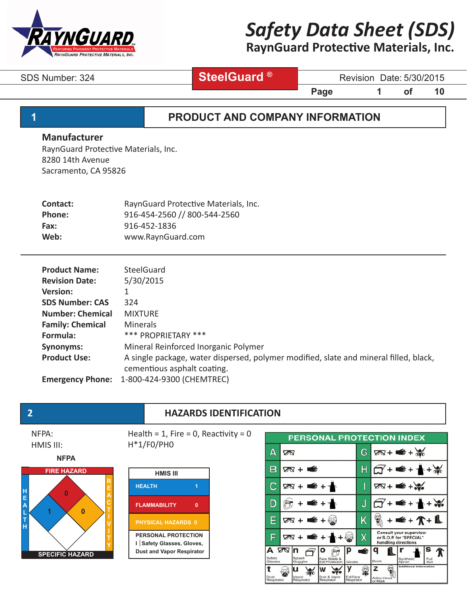

# **RaynGuard Protective Materials, Inc.**

 **SteelGuard ®**

SDS Number: 324 **SteelGuard** Berlin Revision Date: 5/30/2015

**Page 1 of 10** 

### **1 PRODUCT AND COMPANY INFORMATION**

#### **Manufacturer**

RaynGuard Protective Materials, Inc. 8280 14th Avenue Sacramento, CA 95826

| RaynGuard Protective Materials, Inc. |
|--------------------------------------|
|                                      |
|                                      |
|                                      |
|                                      |

| <b>Product Name:</b>    | <b>SteelGuard</b>                                                                     |
|-------------------------|---------------------------------------------------------------------------------------|
| <b>Revision Date:</b>   | 5/30/2015                                                                             |
| <b>Version:</b>         |                                                                                       |
| <b>SDS Number: CAS</b>  | 324                                                                                   |
| <b>Number: Chemical</b> | <b>MIXTURE</b>                                                                        |
| <b>Family: Chemical</b> | <b>Minerals</b>                                                                       |
| Formula:                | *** PROPRIETARY ***                                                                   |
| <b>Synonyms:</b>        | Mineral Reinforced Inorganic Polymer                                                  |
| <b>Product Use:</b>     | A single package, water dispersed, polymer modified, slate and mineral filled, black, |
|                         | cementious asphalt coating.                                                           |
| <b>Emergency Phone:</b> | 1-800-424-9300 (CHEMTREC)                                                             |

### **2 HAZARDS IDENTIFICATION**

NFPA: HMIS III:







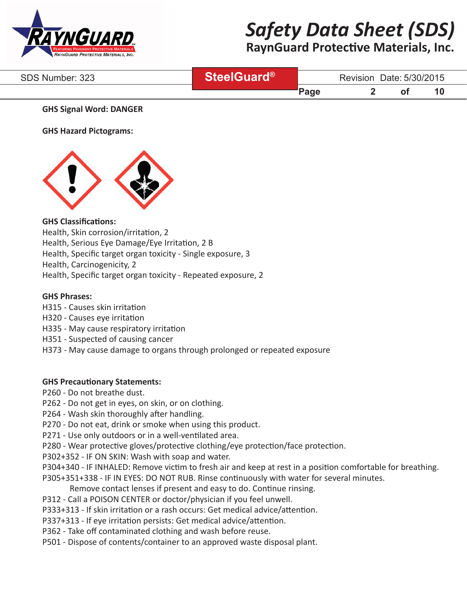

# **RaynGuard Protective Materials, Inc.**

| SDS Number: 323 | <b>ReelGuard®</b> |       | Revision Date: 5/30/2015 |  |    |
|-----------------|-------------------|-------|--------------------------|--|----|
|                 |                   | 'Page |                          |  | 10 |

#### **GHS Signal Word: DANGER**

**GHS Hazard Pictograms:**



### **GHS Classifications:**

Health, Skin corrosion/irritation, 2

Health, Serious Eye Damage/Eye Irritation, 2 B

Health, Specific target organ toxicity - Single exposure, 3

Health, Carcinogenicity, 2

Health, Specific target organ toxicity - Repeated exposure, 2

#### **GHS Phrases:**

- H315 Causes skin irritation
- H320 Causes eye irritation
- H335 May cause respiratory irritation
- H351 Suspected of causing cancer
- H373 May cause damage to organs through prolonged or repeated exposure

#### **GHS Precautionary Statements:**

- P260 Do not breathe dust.
- P262 Do not get in eyes, on skin, or on clothing.
- P264 Wash skin thoroughly after handling.
- P270 Do not eat, drink or smoke when using this product.
- P271 Use only outdoors or in a well-ventilated area.
- P280 Wear protective gloves/protective clothing/eye protection/face protection.
- P302+352 IF ON SKIN: Wash with soap and water.
- P304+340 IF INHALED: Remove victim to fresh air and keep at rest in a position comfortable for breathing.
- P305+351+338 IF IN EYES: DO NOT RUB. Rinse continuously with water for several minutes.
	- Remove contact lenses if present and easy to do. Continue rinsing.
- P312 Call a POISON CENTER or doctor/physician if you feel unwell.
- P333+313 If skin irritation or a rash occurs: Get medical advice/attention.
- P337+313 If eye irritation persists: Get medical advice/attention.
- P362 Take off contaminated clothing and wash before reuse.
- P501 Dispose of contents/container to an approved waste disposal plant.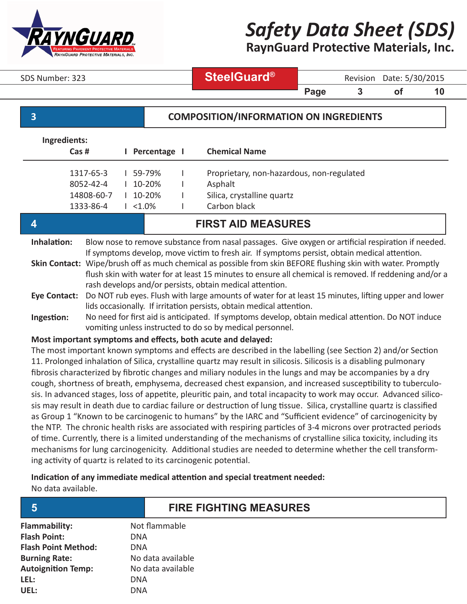

**RaynGuard Protective Materials, Inc.**

SDS Number: 323 **ReelGuard<sup>®</sup>** Revision Date: 5/30/2015

**Page 3 of 10** 

### **3 COMPOSITION/INFORMATION ON INGREDIENTS**

| Ingredients:                                                                                                                                                                                                                                                                                                                                                                                                                                   |                                                   |  |                                                 |  |                                                                                                    |
|------------------------------------------------------------------------------------------------------------------------------------------------------------------------------------------------------------------------------------------------------------------------------------------------------------------------------------------------------------------------------------------------------------------------------------------------|---------------------------------------------------|--|-------------------------------------------------|--|----------------------------------------------------------------------------------------------------|
|                                                                                                                                                                                                                                                                                                                                                                                                                                                | $\text{Cas}\;\text{\#}$                           |  | Percentage I                                    |  | <b>Chemical Name</b>                                                                               |
|                                                                                                                                                                                                                                                                                                                                                                                                                                                | 1317-65-3<br>8052-42-4<br>14808-60-7<br>1333-86-4 |  | 59-79%<br>10-20%<br>$10 - 20%$<br>$1 \le 1.0\%$ |  | Proprietary, non-hazardous, non-regulated<br>Asphalt<br>Silica, crystalline quartz<br>Carbon black |
| <b>FIRST AID MEASURES</b>                                                                                                                                                                                                                                                                                                                                                                                                                      |                                                   |  |                                                 |  |                                                                                                    |
| Inhalation:<br>Blow nose to remove substance from nasal passages. Give oxygen or artificial respiration if needed.<br>If symptoms develop, move victim to fresh air. If symptoms persist, obtain medical attention.<br>Skin Contact: Wipe/brush off as much chemical as possible from skin BEFORE flushing skin with water. Promptly<br>flush skin with water for at least 15 minutes to ensure all chemical is removed. If reddening and/or a |                                                   |  |                                                 |  |                                                                                                    |

**Eye Contact:**  rash develops and/or persists, obtain medical attention. Do NOT rub eyes. Flush with large amounts of water for at least 15 minutes, lifting upper and lower lids occasionally. If irritation persists, obtain medical attention.

**Ingestion:** No need for first aid is anticipated. If symptoms develop, obtain medical attention. Do NOT induce vomiting unless instructed to do so by medical personnel.

#### **Most important symptoms and effects, both acute and delayed:**

The most important known symptoms and effects are described in the labelling (see Section 2) and/or Section 11. Prolonged inhalation of Silica, crystalline quartz may result in silicosis. Silicosis is a disabling pulmonary fibrosis characterized by fibrotic changes and miliary nodules in the lungs and may be accompanies by a dry cough, shortness of breath, emphysema, decreased chest expansion, and increased susceptibility to tuberculosis. In advanced stages, loss of appetite, pleuritic pain, and total incapacity to work may occur. Advanced silicosis may result in death due to cardiac failure or destruction of lung tissue. Silica, crystalline quartz is classified as Group 1 "Known to be carcinogenic to humans" by the IARC and "Sufficient evidence" of carcinogenicity by the NTP. The chronic health risks are associated with respiring particles of 3-4 microns over protracted periods of time. Currently, there is a limited understanding of the mechanisms of crystalline silica toxicity, including its mechanisms for lung carcinogenicity. Additional studies are needed to determine whether the cell transforming activity of quartz is related to its carcinogenic potential.

### **Indication of any immediate medical attention and special treatment needed:**

No data available.

| <b>Flammability:</b>       | Not flammable     |
|----------------------------|-------------------|
| <b>Flash Point:</b>        | DNA               |
| <b>Flash Point Method:</b> | DNA               |
| <b>Burning Rate:</b>       | No data available |
| <b>Autoignition Temp:</b>  | No data available |
| LEL:                       | DNA               |
| UEL:                       | DNA               |

## **5 FIRE FIGHTING MEASURES**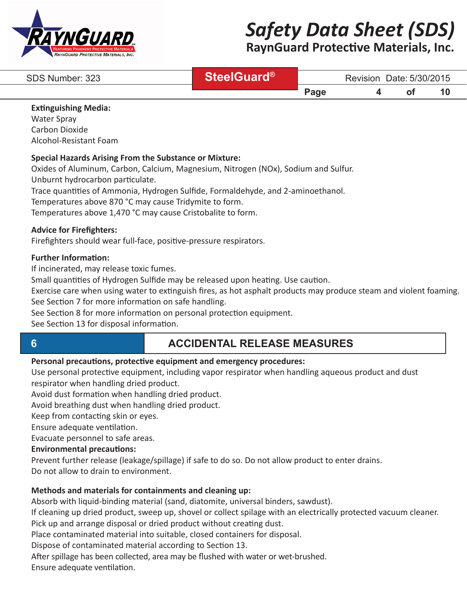

# **RaynGuard Protective Materials, Inc.**

| SDS Number: 323 | <b>DieelGuard®</b> |                           | Revision | Date: 5/30/2015 |    |  |
|-----------------|--------------------|---------------------------|----------|-----------------|----|--|
|                 |                    | $\mathsf{p}_{\text{age}}$ |          | O1              | 10 |  |

#### **Extinguishing Media:**

Water Spray Carbon Dioxide Alcohol-Resistant Foam

#### **Special Hazards Arising From the Substance or Mixture:**

Oxides of Aluminum, Carbon, Calcium, Magnesium, Nitrogen (NOx), Sodium and Sulfur. Unburnt hydrocarbon particulate.

Trace quantities of Ammonia, Hydrogen Sulfide, Formaldehyde, and 2-aminoethanol.

Temperatures above 870 °C may cause Tridymite to form.

Temperatures above 1,470 °C may cause Cristobalite to form.

#### **Advice for Firefighters:**

Firefighters should wear full-face, positive-pressure respirators.

#### **Further Information:**

If incinerated, may release toxic fumes.

Small quantities of Hydrogen Sulfide may be released upon heating. Use caution.

Exercise care when using water to extinguish fires, as hot asphalt products may produce steam and violent foaming. See Section 7 for more information on safe handling.

See Section 8 for more information on personal protection equipment.

See Section 13 for disposal information.

# **6 ACCIDENTAL RELEASE MEASURES**

#### **Personal precautions, protective equipment and emergency procedures:**

Use personal protective equipment, including vapor respirator when handling aqueous product and dust respirator when handling dried product.

Avoid dust formation when handling dried product.

Avoid breathing dust when handling dried product.

Keep from contacting skin or eyes.

Ensure adequate ventilation.

Evacuate personnel to safe areas.

#### **Environmental precautions:**

Prevent further release (leakage/spillage) if safe to do so. Do not allow product to enter drains. Do not allow to drain to environment.

### **Methods and materials for containments and cleaning up:**

Absorb with liquid-binding material (sand, diatomite, universal binders, sawdust).

If cleaning up dried product, sweep up, shovel or collect spilage with an electrically protected vacuum cleaner. Pick up and arrange disposal or dried product without creating dust.

Place contaminated material into suitable, closed containers for disposal.

Dispose of contaminated material according to Section 13.

After spillage has been collected, area may be flushed with water or wet-brushed.

Ensure adequate ventilation.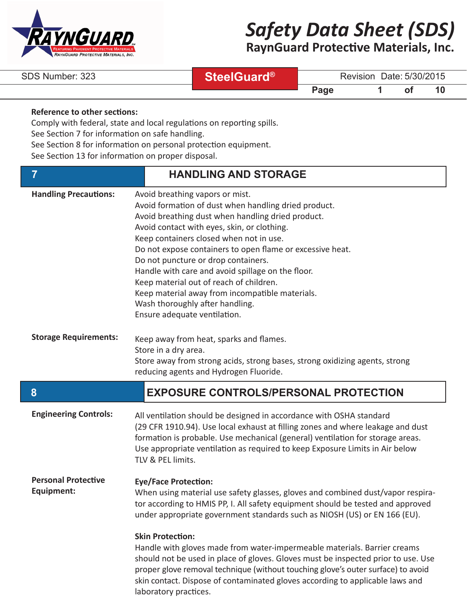

**RaynGuard Protective Materials, Inc.**

|  |  | SDS Number: 323 |  |
|--|--|-----------------|--|
|--|--|-----------------|--|

 **SteelGuard®**

Revision Date: 5/30/2015

**Page 1** of 10

### **Reference to other sections:**

Comply with federal, state and local regulations on reporting spills.

See Section 7 for information on safe handling.

See Section 8 for information on personal protection equipment.

See Section 13 for information on proper disposal.

| 7                                        | <b>HANDLING AND STORAGE</b>                                                                                                                                                                                                                                                                                                                                                                                                                                                                                                                                      |
|------------------------------------------|------------------------------------------------------------------------------------------------------------------------------------------------------------------------------------------------------------------------------------------------------------------------------------------------------------------------------------------------------------------------------------------------------------------------------------------------------------------------------------------------------------------------------------------------------------------|
| <b>Handling Precautions:</b>             | Avoid breathing vapors or mist.<br>Avoid formation of dust when handling dried product.<br>Avoid breathing dust when handling dried product.<br>Avoid contact with eyes, skin, or clothing.<br>Keep containers closed when not in use.<br>Do not expose containers to open flame or excessive heat.<br>Do not puncture or drop containers.<br>Handle with care and avoid spillage on the floor.<br>Keep material out of reach of children.<br>Keep material away from incompatible materials.<br>Wash thoroughly after handling.<br>Ensure adequate ventilation. |
| <b>Storage Requirements:</b>             | Keep away from heat, sparks and flames.<br>Store in a dry area.<br>Store away from strong acids, strong bases, strong oxidizing agents, strong<br>reducing agents and Hydrogen Fluoride.                                                                                                                                                                                                                                                                                                                                                                         |
|                                          |                                                                                                                                                                                                                                                                                                                                                                                                                                                                                                                                                                  |
| 8                                        | <b>EXPOSURE CONTROLS/PERSONAL PROTECTION</b>                                                                                                                                                                                                                                                                                                                                                                                                                                                                                                                     |
| <b>Engineering Controls:</b>             | All ventilation should be designed in accordance with OSHA standard<br>(29 CFR 1910.94). Use local exhaust at filling zones and where leakage and dust<br>formation is probable. Use mechanical (general) ventilation for storage areas.<br>Use appropriate ventilation as required to keep Exposure Limits in Air below<br>TLV & PEL limits.                                                                                                                                                                                                                    |
| <b>Personal Protective</b><br>Equipment: | <b>Eye/Face Protection:</b><br>When using material use safety glasses, gloves and combined dust/vapor respira-<br>tor according to HMIS PP, I. All safety equipment should be tested and approved<br>under appropriate government standards such as NIOSH (US) or EN 166 (EU).                                                                                                                                                                                                                                                                                   |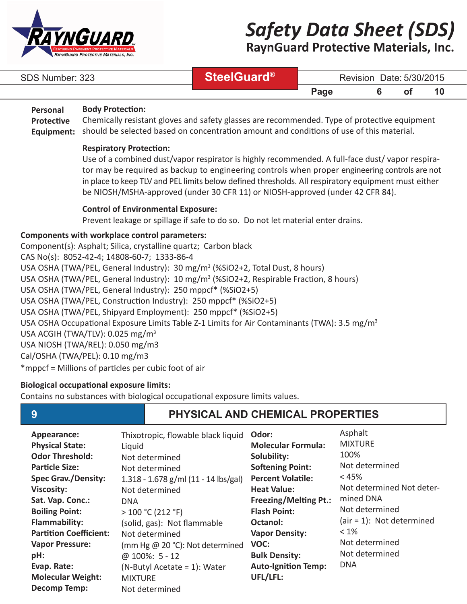

**RaynGuard Protective Materials, Inc.**

| SDS Number: 323 | <b>DieelGuard®</b> |      | Revision Date: 5/30/2015 |  |
|-----------------|--------------------|------|--------------------------|--|
|                 |                    | Page |                          |  |

#### **Body Protection: Personal**

Chemically resistant gloves and safety glasses are recommended. Type of protective equipment should be selected based on concentration amount and conditions of use of this material. **Protective Equipment:**

#### **Respiratory Protection:**

Use of a combined dust/vapor respirator is highly recommended. A full-face dust/ vapor respirator may be required as backup to engineering controls when proper engineering controls are not in place to keep TLV and PEL limits below defined thresholds. All respiratory equipment must either be NIOSH/MSHA-approved (under 30 CFR 11) or NIOSH-approved (under 42 CFR 84).

#### **Control of Environmental Exposure:**

Prevent leakage or spillage if safe to do so. Do not let material enter drains.

#### **Components with workplace control parameters:**

Component(s): Asphalt; Silica, crystalline quartz; Carbon black CAS No(s): 8052-42-4; 14808-60-7; 1333-86-4 USA OSHA (TWA/PEL, General Industry): 30 mg/m<sup>3</sup> (%SiO2+2, Total Dust, 8 hours) USA OSHA (TWA/PEL, General Industry): 10 mg/m<sup>3</sup> (%SiO2+2, Respirable Fraction, 8 hours) USA OSHA (TWA/PEL, General Industry): 250 mppcf\* (%SiO2+5) USA OSHA (TWA/PEL, Construction Industry): 250 mppcf\* (%SiO2+5) USA OSHA (TWA/PEL, Shipyard Employment): 250 mppcf\* (%SiO2+5) USA OSHA Occupational Exposure Limits Table Z-1 Limits for Air Contaminants (TWA): 3.5 mg/m<sup>3</sup> USA ACGIH (TWA/TLV): 0.025 mg/m3 USA NIOSH (TWA/REL): 0.050 mg/m3 Cal/OSHA (TWA/PEL): 0.10 mg/m3 \*mppcf = Millions of particles per cubic foot of air

#### **Biological occupational exposure limits:**

Contains no substances with biological occupational exposure limits values.

# **9 PHYSICAL AND CHEMICAL PROPERTIES**

| Appearance:                   | Thixotropic, flowable black liquid   | Odor:                        | Asphalt                    |
|-------------------------------|--------------------------------------|------------------------------|----------------------------|
| <b>Physical State:</b>        | Liquid                               | <b>Molecular Formula:</b>    | <b>MIXTURE</b>             |
| <b>Odor Threshold:</b>        | Not determined                       | Solubility:                  | 100%                       |
| <b>Particle Size:</b>         | Not determined                       | <b>Softening Point:</b>      | Not determined             |
| <b>Spec Grav./Density:</b>    | 1.318 - 1.678 g/ml (11 - 14 lbs/gal) | <b>Percent Volatile:</b>     | $< 45\%$                   |
| <b>Viscosity:</b>             | Not determined                       | <b>Heat Value:</b>           | Not determined Not deter-  |
| Sat. Vap. Conc.:              | <b>DNA</b>                           | <b>Freezing/Melting Pt.:</b> | mined DNA                  |
| <b>Boiling Point:</b>         | >100 °C (212 °F)                     | <b>Flash Point:</b>          | Not determined             |
| <b>Flammability:</b>          | (solid, gas): Not flammable          | Octanol:                     | $air = 1$ : Not determined |
| <b>Partition Coefficient:</b> | Not determined                       | <b>Vapor Density:</b>        | $< 1\%$                    |
| <b>Vapor Pressure:</b>        | (mm Hg @ 20 °C): Not determined      | VOC:                         | Not determined             |
| pH:                           | @ $100\%$ : 5 - 12                   | <b>Bulk Density:</b>         | Not determined             |
| Evap. Rate:                   | (N-Butyl Acetate = 1): Water         | <b>Auto-Ignition Temp:</b>   | <b>DNA</b>                 |
| <b>Molecular Weight:</b>      | <b>MIXTURE</b>                       | UFL/LFL:                     |                            |
| <b>Decomp Temp:</b>           | Not determined                       |                              |                            |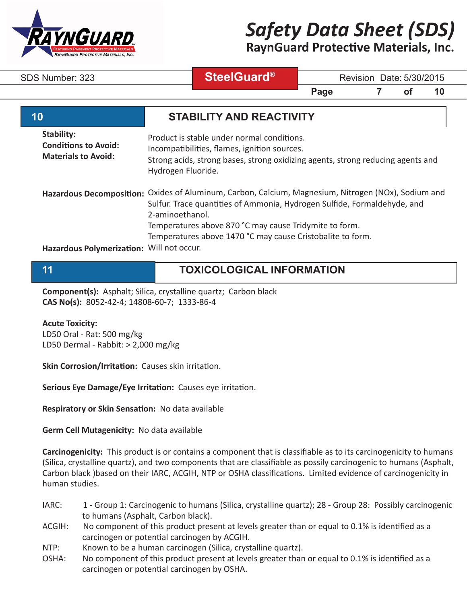

**RaynGuard Protective Materials, Inc.**

 **SteelGuard®**

SDS Number: 323 **SteelGuard** Revision Date: 5/30/2015

**Page 7 of 10** 

| 10                                                                      | <b>STABILITY AND REACTIVITY</b>                                                                                                                                                                                                                                                                                            |
|-------------------------------------------------------------------------|----------------------------------------------------------------------------------------------------------------------------------------------------------------------------------------------------------------------------------------------------------------------------------------------------------------------------|
| Stability:<br><b>Conditions to Avoid:</b><br><b>Materials to Avoid:</b> | Product is stable under normal conditions.<br>Incompatibilities, flames, ignition sources.<br>Strong acids, strong bases, strong oxidizing agents, strong reducing agents and<br>Hydrogen Fluoride.                                                                                                                        |
|                                                                         | Hazardous Decomposition: Oxides of Aluminum, Carbon, Calcium, Magnesium, Nitrogen (NOx), Sodium and<br>Sulfur. Trace quantities of Ammonia, Hydrogen Sulfide, Formaldehyde, and<br>2-aminoethanol.<br>Temperatures above 870 °C may cause Tridymite to form.<br>Temperatures above 1470 °C may cause Cristobalite to form. |
| Hazardous Polymerization: Will not occur.                               |                                                                                                                                                                                                                                                                                                                            |

# **11 TOXICOLOGICAL INFORMATION**

**Component(s):** Asphalt; Silica, crystalline quartz; Carbon black **CAS No(s):** 8052-42-4; 14808-60-7; 1333-86-4

#### **Acute Toxicity:**

LD50 Oral - Rat: 500 mg/kg LD50 Dermal - Rabbit: > 2,000 mg/kg

**Skin Corrosion/Irritation:** Causes skin irritation.

**Serious Eye Damage/Eye Irritation:** Causes eye irritation.

**Respiratory or Skin Sensation:** No data available

**Germ Cell Mutagenicity:** No data available

**Carcinogenicity:** This product is or contains a component that is classifiable as to its carcinogenicity to humans (Silica, crystalline quartz), and two components that are classifiable as possily carcinogenic to humans (Asphalt, Carbon black )based on their IARC, ACGIH, NTP or OSHA classifications. Limited evidence of carcinogenicity in human studies.

- IARC: 1 Group 1: Carcinogenic to humans (Silica, crystalline quartz); 28 Group 28: Possibly carcinogenic to humans (Asphalt, Carbon black).
- ACGIH: No component of this product present at levels greater than or equal to 0.1% is identified as a carcinogen or potential carcinogen by ACGIH.
- NTP: Known to be a human carcinogen (Silica, crystalline quartz).
- OSHA: No component of this product present at levels greater than or equal to 0.1% is identified as a carcinogen or potential carcinogen by OSHA.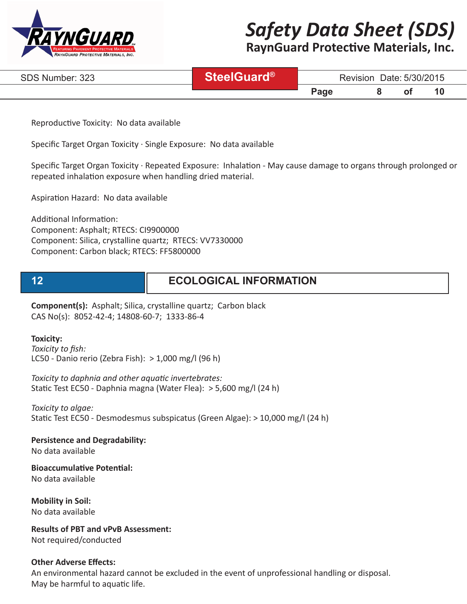

# **RaynGuard Protective Materials, Inc.**

| SDS Number: 323 | <i>reelGuard®</i> | Date: 5/30/2015<br>Revision |  |  |       |  |
|-----------------|-------------------|-----------------------------|--|--|-------|--|
|                 |                   | $\mathbf{p}$ age            |  |  | . A C |  |

Reproductive Toxicity: No data available

Specific Target Organ Toxicity · Single Exposure: No data available

Specific Target Organ Toxicity · Repeated Exposure: Inhalation - May cause damage to organs through prolonged or repeated inhalation exposure when handling dried material.

Aspiration Hazard: No data available

Additional Information: Component: Asphalt; RTECS: CI9900000 Component: Silica, crystalline quartz; RTECS: VV7330000 Component: Carbon black; RTECS: FF5800000

# **12 ECOLOGICAL INFORMATION**

**Component(s):** Asphalt; Silica, crystalline quartz; Carbon black CAS No(s): 8052-42-4; 14808-60-7; 1333-86-4

#### **Toxicity:**

*Toxicity to fish:* LC50 - Danio rerio (Zebra Fish): > 1,000 mg/l (96 h)

*Toxicity to daphnia and other aquatic invertebrates:* Static Test EC50 - Daphnia magna (Water Flea): > 5,600 mg/l (24 h)

*Toxicity to algae:* Static Test EC50 - Desmodesmus subspicatus (Green Algae): > 10,000 mg/l (24 h)

**Persistence and Degradability:**

No data available

**Bioaccumulative Potential:** No data available

**Mobility in Soil:** No data available

**Results of PBT and vPvB Assessment:** Not required/conducted

#### **Other Adverse Effects:**

An environmental hazard cannot be excluded in the event of unprofessional handling or disposal. May be harmful to aquatic life.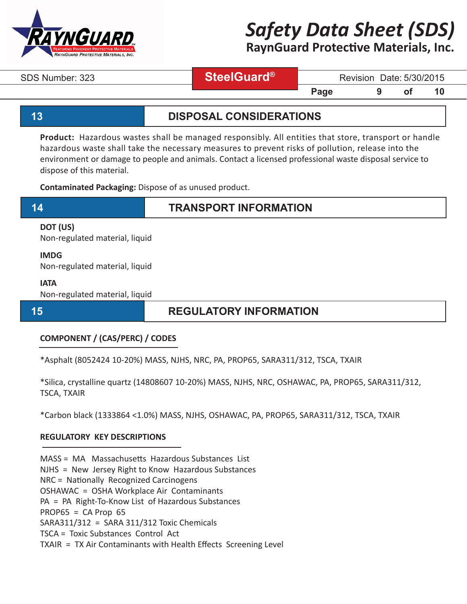

**RaynGuard Protective Materials, Inc.**

## **SteelGuard®**

SDS Number: 323 **SteelGuard** Revision Date: 5/30/2015

### **13 DISPOSAL CONSIDERATIONS**

**Page 5 9 of 10** 

**Product:** Hazardous wastes shall be managed responsibly. All entities that store, transport or handle hazardous waste shall take the necessary measures to prevent risks of pollution, release into the environment or damage to people and animals. Contact a licensed professional waste disposal service to dispose of this material.

**Contaminated Packaging:** Dispose of as unused product.

### **14 TRANSPORT INFORMATION**

### **DOT (US)**

Non-regulated material, liquid

#### **IMDG**

Non-regulated material, liquid

#### **IATA**

Non-regulated material, liquid

## **15 REGULATORY INFORMATION**

### **COMPONENT / (CAS/PERC) / CODES**

\*Asphalt (8052424 10-20%) MASS, NJHS, NRC, PA, PROP65, SARA311/312, TSCA, TXAIR

\*Silica, crystalline quartz (14808607 10-20%) MASS, NJHS, NRC, OSHAWAC, PA, PROP65, SARA311/312, TSCA, TXAIR

\*Carbon black (1333864 <1.0%) MASS, NJHS, OSHAWAC, PA, PROP65, SARA311/312, TSCA, TXAIR

### **REGULATORY KEY DESCRIPTIONS**

MASS = MA Massachusetts Hazardous Substances List

NJHS = New Jersey Right to Know Hazardous Substances

NRC = Nationally Recognized Carcinogens

OSHAWAC = OSHA Workplace Air Contaminants

PA = PA Right-To-Know List of Hazardous Substances

 $PROP65 = CA Prop65$ 

SARA311/312 = SARA 311/312 Toxic Chemicals

TSCA = Toxic Substances Control Act

TXAIR = TX Air Contaminants with Health Effects Screening Level